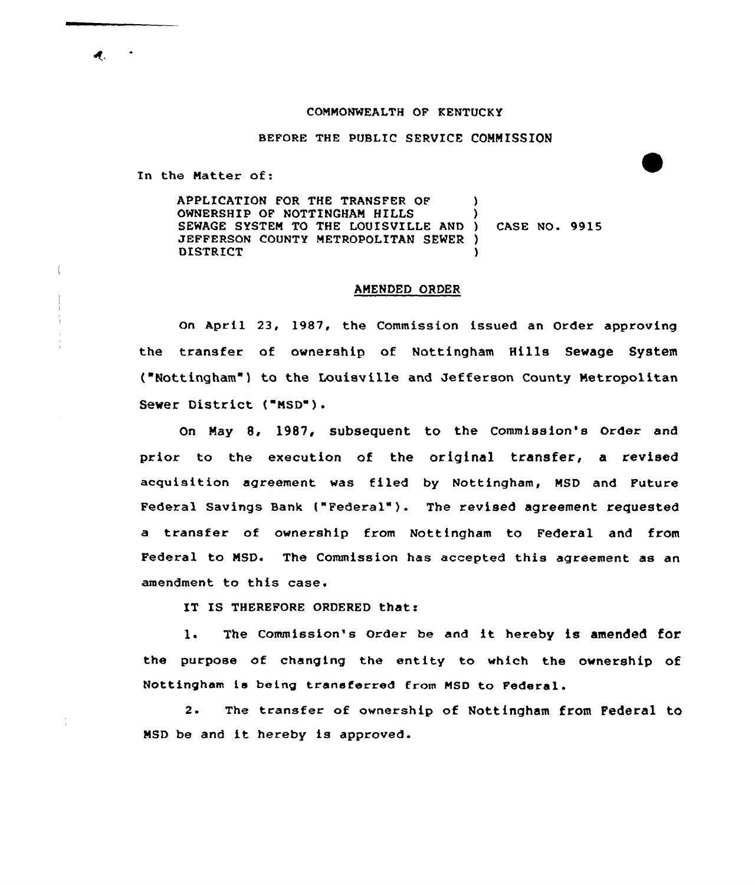## COMMONWEALTH OF KENTUCKY

BEFORE THE PUBLIC SERVICE COMMISSION

In the Matter of:

APPLICATION FOR THE TRANSFER OF OWNERSHIP OF NOTTINGHAM HILLS SEWAGE SYSTEM TO THE LOUISVILLE AND JEFFERSON COUNTY METROPOLITAN SEWER ) DISTRICT ) ) ) CASE NO. 9915

## AMENDED ORDER

On April 23, 1987, the Commission issued an Order approving the transfer of ownership of Nottingham Hills Sewage System ("Nottingham") to the Louisville and Jefferson County Metropolitan sewer District ("MsD").

On May 8, 1987, subsequent to the Commission's Order and prior to the execution of the original transfer, a revised acquisition agreement was filed by Nottingham, MSD and Future Federal Savings Bank {"Federal" ). The revised agreement requested a transfer of ownership from Nottfngham to Federal and from Federal to MSD. The Commission has accepted this agreement as an amendment to this case.

IT IS THEREFORE ORDERED that:

1. The Commission's Order be and it hereby is amended for the purpose of changing the entity to which the ownership of Nottingham ia being transferred from MSD to Federal.

2. The transfer of ownership of Nottingham from Federal to MSD be and it hereby is approved.

 $\boldsymbol{d}_{\cdot}$